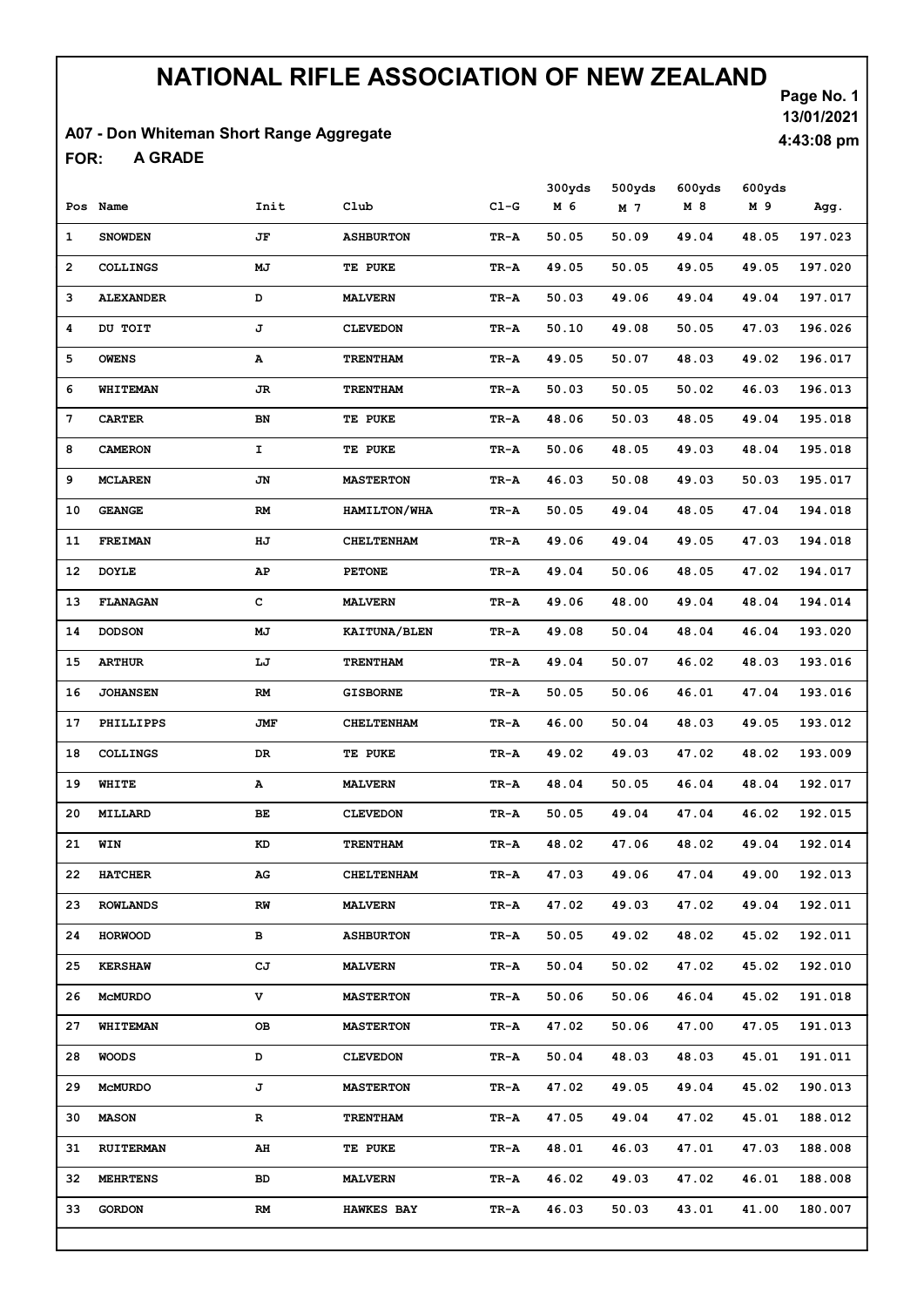### A07 - Don Whiteman Short Range Aggregate

A GRADE FOR:

Page No. 1 13/01/2021 4:43:08 pm

|              |                  |      |                     |        | 300yds | 500yds | 600yds | 600yds |         |
|--------------|------------------|------|---------------------|--------|--------|--------|--------|--------|---------|
|              | Pos Name         | Init | Club                | $CL-G$ | M 6    | M 7    | M 8    | M 9    | Agg.    |
| $\mathbf{1}$ | <b>SNOWDEN</b>   | JF   | <b>ASHBURTON</b>    | TR-A   | 50.05  | 50.09  | 49.04  | 48.05  | 197.023 |
| $\mathbf{2}$ | <b>COLLINGS</b>  | MJ   | <b>TE PUKE</b>      | TR-A   | 49.05  | 50.05  | 49.05  | 49.05  | 197.020 |
| з            | <b>ALEXANDER</b> | D    | <b>MALVERN</b>      | TR-A   | 50.03  | 49.06  | 49.04  | 49.04  | 197.017 |
| 4            | DU TOIT          | J    | <b>CLEVEDON</b>     | TR-A   | 50.10  | 49.08  | 50.05  | 47.03  | 196.026 |
| 5            | <b>OWENS</b>     | А    | <b>TRENTHAM</b>     | TR-A   | 49.05  | 50.07  | 48.03  | 49.02  | 196.017 |
| 6            | WHITEMAN         | JR.  | <b>TRENTHAM</b>     | TR-A   | 50.03  | 50.05  | 50.02  | 46.03  | 196.013 |
| 7            | <b>CARTER</b>    | BN   | <b>TE PUKE</b>      | TR-A   | 48.06  | 50.03  | 48.05  | 49.04  | 195.018 |
| 8            | <b>CAMERON</b>   | I    | TE PUKE             | TR-A   | 50.06  | 48.05  | 49.03  | 48.04  | 195.018 |
| 9            | <b>MCLAREN</b>   | JN   | <b>MASTERTON</b>    | TR-A   | 46.03  | 50.08  | 49.03  | 50.03  | 195.017 |
| 10           | <b>GEANGE</b>    | RM   | <b>HAMILTON/WHA</b> | TR-A   | 50.05  | 49.04  | 48.05  | 47.04  | 194.018 |
| 11           | <b>FREIMAN</b>   | ΗJ   | <b>CHELTENHAM</b>   | TR-A   | 49.06  | 49.04  | 49.05  | 47.03  | 194.018 |
| 12           | <b>DOYLE</b>     | AP   | <b>PETONE</b>       | TR-A   | 49.04  | 50.06  | 48.05  | 47.02  | 194.017 |
| 13           | <b>FLANAGAN</b>  | c    | <b>MALVERN</b>      | TR-A   | 49.06  | 48.00  | 49.04  | 48.04  | 194.014 |
| 14           | <b>DODSON</b>    | МJ   | <b>KAITUNA/BLEN</b> | TR-A   | 49.08  | 50.04  | 48.04  | 46.04  | 193.020 |
| 15           | <b>ARTHUR</b>    | LJ   | <b>TRENTHAM</b>     | TR-A   | 49.04  | 50.07  | 46.02  | 48.03  | 193.016 |
| 16           | <b>JOHANSEN</b>  | RM   | <b>GISBORNE</b>     | TR-A   | 50.05  | 50.06  | 46.01  | 47.04  | 193.016 |
| 17           | PHILLIPPS        | JMF  | <b>CHELTENHAM</b>   | TR-A   | 46.00  | 50.04  | 48.03  | 49.05  | 193.012 |
| 18           | <b>COLLINGS</b>  | DR   | TE PUKE             | TR-A   | 49.02  | 49.03  | 47.02  | 48.02  | 193.009 |
| 19           | WHITE            | А    | <b>MALVERN</b>      | TR-A   | 48.04  | 50.05  | 46.04  | 48.04  | 192.017 |
| 20           | MILLARD          | BЕ   | <b>CLEVEDON</b>     | TR-A   | 50.05  | 49.04  | 47.04  | 46.02  | 192.015 |
| 21           | WIN              | KD   | <b>TRENTHAM</b>     | TR-A   | 48.02  | 47.06  | 48.02  | 49.04  | 192.014 |
| 22           | <b>HATCHER</b>   | AG   | <b>CHELTENHAM</b>   | TR-A   | 47.03  | 49.06  | 47.04  | 49.00  | 192.013 |
| 23           | <b>ROWLANDS</b>  | RW   | <b>MALVERN</b>      | TR-A   | 47.02  | 49.03  | 47.02  | 49.04  | 192.011 |
| 24           | <b>HORWOOD</b>   | в    | <b>ASHBURTON</b>    | TR-A   | 50.05  | 49.02  | 48.02  | 45.02  | 192.011 |
| 25           | <b>KERSHAW</b>   | СJ   | <b>MALVERN</b>      | TR-A   | 50.04  | 50.02  | 47.02  | 45.02  | 192.010 |
| 26           | <b>MCMURDO</b>   | v    | <b>MASTERTON</b>    | TR-A   | 50.06  | 50.06  | 46.04  | 45.02  | 191.018 |
| 27           | <b>WHITEMAN</b>  | OВ   | <b>MASTERTON</b>    | TR-A   | 47.02  | 50.06  | 47.00  | 47.05  | 191.013 |
| 28           | <b>WOODS</b>     | D    | <b>CLEVEDON</b>     | TR-A   | 50.04  | 48.03  | 48.03  | 45.01  | 191.011 |
| 29           | <b>MCMURDO</b>   | J    | <b>MASTERTON</b>    | TR-A   | 47.02  | 49.05  | 49.04  | 45.02  | 190.013 |
| 30           | <b>MASON</b>     | R    | <b>TRENTHAM</b>     | TR-A   | 47.05  | 49.04  | 47.02  | 45.01  | 188.012 |
| 31           | <b>RUITERMAN</b> | AH   | TE PUKE             | TR-A   | 48.01  | 46.03  | 47.01  | 47.03  | 188.008 |
| 32           | <b>MEHRTENS</b>  | BD   | <b>MALVERN</b>      | TR-A   | 46.02  | 49.03  | 47.02  | 46.01  | 188.008 |
| 33           | <b>GORDON</b>    | RM   | <b>HAWKES BAY</b>   | TR-A   | 46.03  | 50.03  | 43.01  | 41.00  | 180.007 |
|              |                  |      |                     |        |        |        |        |        |         |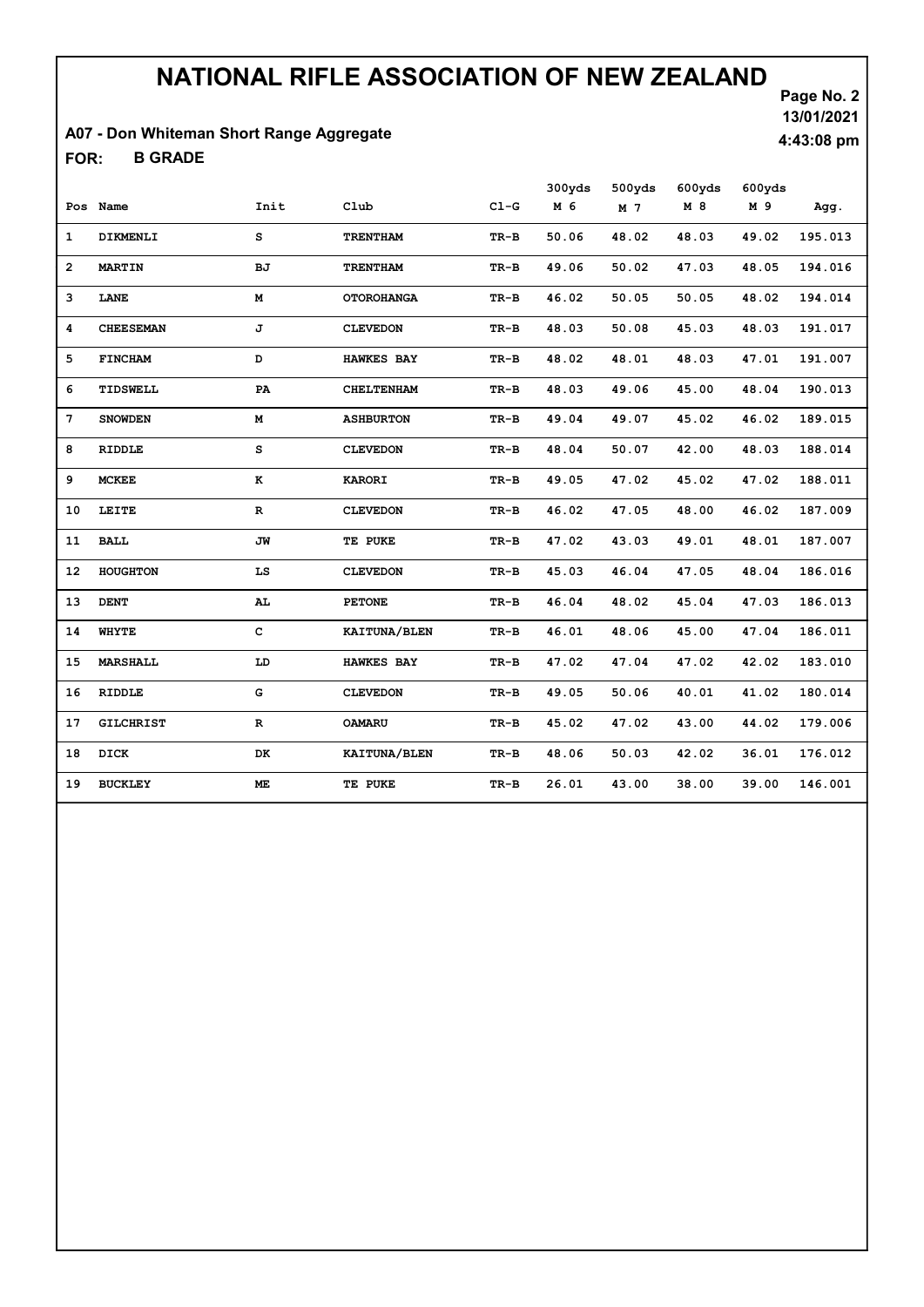### A07 - Don Whiteman Short Range Aggregate

B GRADE FOR:

Page No. 2 13/01/2021 4:43:08 pm

|                |                  |           |                   |        | 300yds | 500yds | 600yds | 600yds |         |
|----------------|------------------|-----------|-------------------|--------|--------|--------|--------|--------|---------|
|                | Pos Name         | Init      | Club              | $CL-G$ | M 6    | M 7    | M 8    | M 9    | Agg.    |
| 1              | DIKMENLI         | s         | <b>TRENTHAM</b>   | TR-B   | 50.06  | 48.02  | 48.03  | 49.02  | 195.013 |
| $\overline{2}$ | <b>MARTIN</b>    | <b>BJ</b> | <b>TRENTHAM</b>   | TR-B   | 49.06  | 50.02  | 47.03  | 48.05  | 194.016 |
| 3              | LANE             | М         | <b>OTOROHANGA</b> | TR-B   | 46.02  | 50.05  | 50.05  | 48.02  | 194.014 |
| 4              | <b>CHEESEMAN</b> | J         | <b>CLEVEDON</b>   | TR-B   | 48.03  | 50.08  | 45.03  | 48.03  | 191.017 |
| 5              | <b>FINCHAM</b>   | D         | <b>HAWKES BAY</b> | TR-B   | 48.02  | 48.01  | 48.03  | 47.01  | 191.007 |
| 6              | TIDSWELL         | PA        | <b>CHELTENHAM</b> | TR-B   | 48.03  | 49.06  | 45.00  | 48.04  | 190.013 |
| 7              | <b>SNOWDEN</b>   | М         | <b>ASHBURTON</b>  | TR-B   | 49.04  | 49.07  | 45.02  | 46.02  | 189.015 |
| 8              | RIDDLE           | s         | <b>CLEVEDON</b>   | TR-B   | 48.04  | 50.07  | 42.00  | 48.03  | 188.014 |
| 9              | <b>MCKEE</b>     | к         | <b>KARORI</b>     | TR-B   | 49.05  | 47.02  | 45.02  | 47.02  | 188.011 |
| 10             | LEITE            | R         | <b>CLEVEDON</b>   | TR-B   | 46.02  | 47.05  | 48.00  | 46.02  | 187.009 |
| 11             | <b>BALL</b>      | JW        | TE PUKE           | TR-B   | 47.02  | 43.03  | 49.01  | 48.01  | 187.007 |
| 12             | <b>HOUGHTON</b>  | LS        | <b>CLEVEDON</b>   | TR-B   | 45.03  | 46.04  | 47.05  | 48.04  | 186.016 |
| 13             | <b>DENT</b>      | AL.       | <b>PETONE</b>     | TR-B   | 46.04  | 48.02  | 45.04  | 47.03  | 186.013 |
| 14             | WHYTE            | c         | KAITUNA/BLEN      | TR-B   | 46.01  | 48.06  | 45.00  | 47.04  | 186.011 |
| 15             | <b>MARSHALL</b>  | LD        | <b>HAWKES BAY</b> | $TR-B$ | 47.02  | 47.04  | 47.02  | 42.02  | 183.010 |
| 16             | <b>RIDDLE</b>    | G         | <b>CLEVEDON</b>   | TR-B   | 49.05  | 50.06  | 40.01  | 41.02  | 180.014 |
| 17             | <b>GILCHRIST</b> | R         | <b>OAMARU</b>     | TR-B   | 45.02  | 47.02  | 43.00  | 44.02  | 179.006 |
| 18             | DICK             | DK        | KAITUNA/BLEN      | TR-B   | 48.06  | 50.03  | 42.02  | 36.01  | 176.012 |
| 19             | <b>BUCKLEY</b>   | ME.       | TE PUKE           | TR-B   | 26.01  | 43.00  | 38.00  | 39.00  | 146.001 |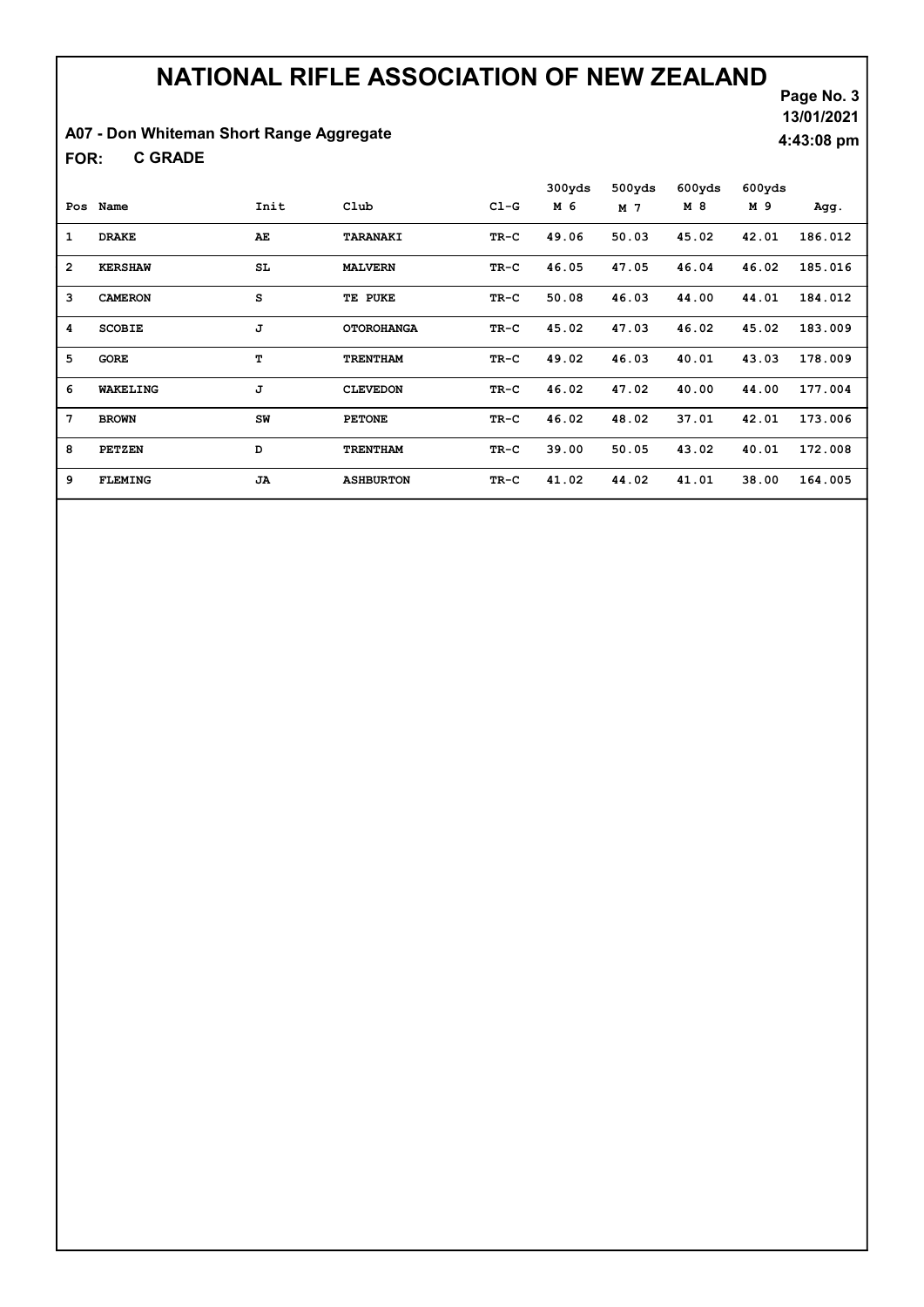### A07 - Don Whiteman Short Range Aggregate

C GRADE FOR:

|                |                 |                 |                   |        | 300yds | 500yds | 600yds | 600yds |         |
|----------------|-----------------|-----------------|-------------------|--------|--------|--------|--------|--------|---------|
| Pos            | Name            | Init            | Club              | $C1-G$ | M 6    | M 7    | M 8    | M 9    | Agg.    |
| 1              | <b>DRAKE</b>    | AE              | TARANAKI          | TR-C   | 49.06  | 50.03  | 45.02  | 42.01  | 186.012 |
| $\overline{2}$ | <b>KERSHAW</b>  | SL <sub>1</sub> | <b>MALVERN</b>    | $TR-C$ | 46.05  | 47.05  | 46.04  | 46.02  | 185.016 |
| 3              | <b>CAMERON</b>  | S               | TE PUKE           | $TR-C$ | 50.08  | 46.03  | 44.00  | 44.01  | 184.012 |
| 4              | <b>SCOBIE</b>   | J               | <b>OTOROHANGA</b> | TR-C   | 45.02  | 47.03  | 46.02  | 45.02  | 183.009 |
| 5              | <b>GORE</b>     | т               | <b>TRENTHAM</b>   | $TR-C$ | 49.02  | 46.03  | 40.01  | 43.03  | 178.009 |
| 6              | <b>WAKELING</b> | J               | <b>CLEVEDON</b>   | TR-C   | 46.02  | 47.02  | 40.00  | 44.00  | 177.004 |
| 7              | <b>BROWN</b>    | SW              | <b>PETONE</b>     | TR-C   | 46.02  | 48.02  | 37.01  | 42.01  | 173.006 |
| 8              | <b>PETZEN</b>   | D               | <b>TRENTHAM</b>   | $TR-C$ | 39.00  | 50.05  | 43.02  | 40.01  | 172.008 |
| 9              | <b>FLEMING</b>  | <b>JA</b>       | <b>ASHBURTON</b>  | $TR-C$ | 41.02  | 44.02  | 41.01  | 38.00  | 164.005 |

Page No. 3 13/01/2021 4:43:08 pm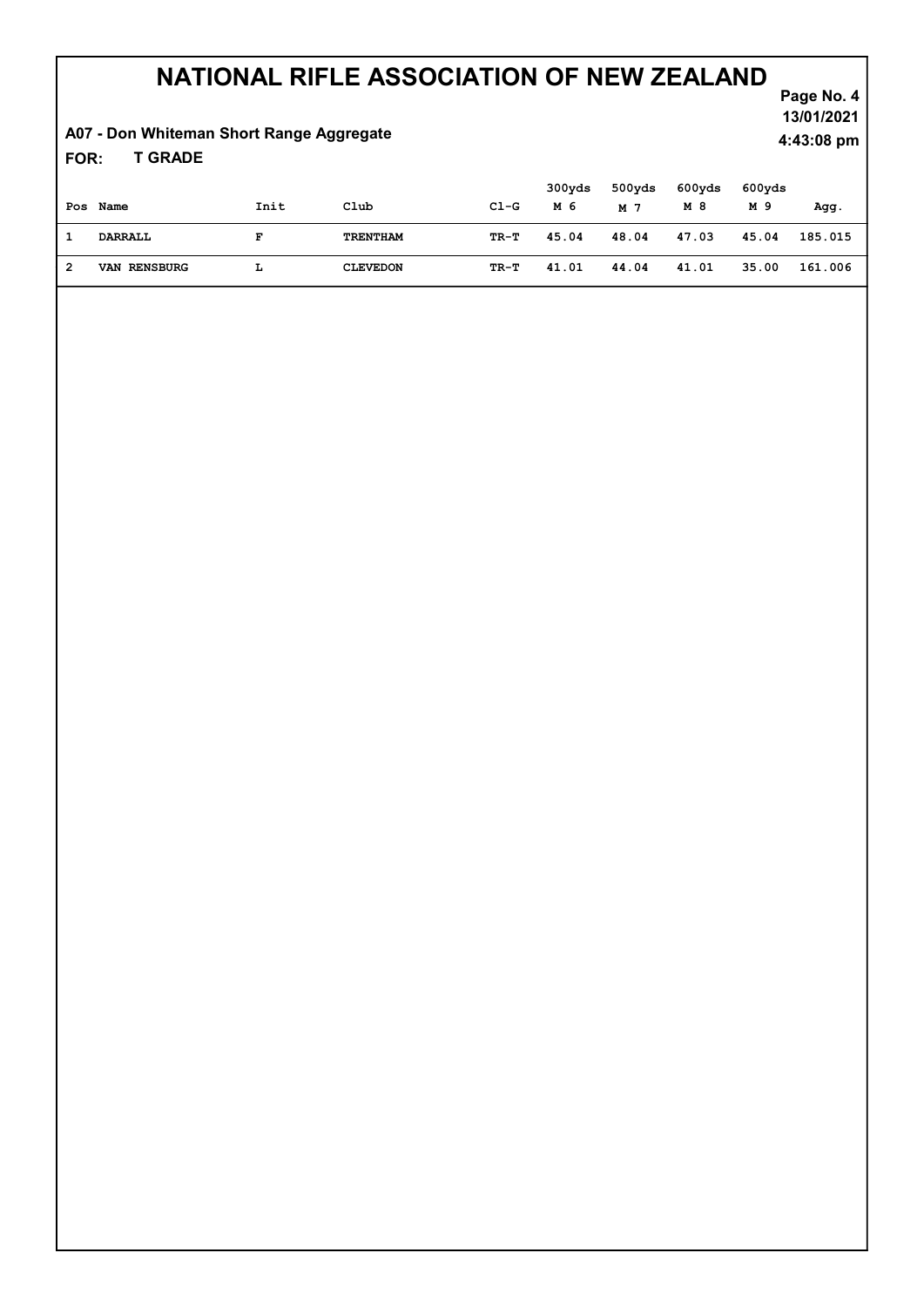### A07 - Don Whiteman Short Range Aggregate

T GRADE FOR:

|   | Pos Name            | Init | Club            | C1-G | 300yds<br>M 6 | 500yds<br>M 7 | 600yds<br>M 8 | 600yds<br>M 9 | Agg.    |
|---|---------------------|------|-----------------|------|---------------|---------------|---------------|---------------|---------|
|   | DARRALL             | F    | TRENTHAM        | TR-T | 45.04         | 48.04         | 47.03         | 45.04         | 185.015 |
| 2 | <b>VAN RENSBURG</b> | L    | <b>CLEVEDON</b> | TR-T | 41.01         | 44.04         | 41.01         | 35.00         | 161.006 |

Page No. 4 13/01/2021 4:43:08 pm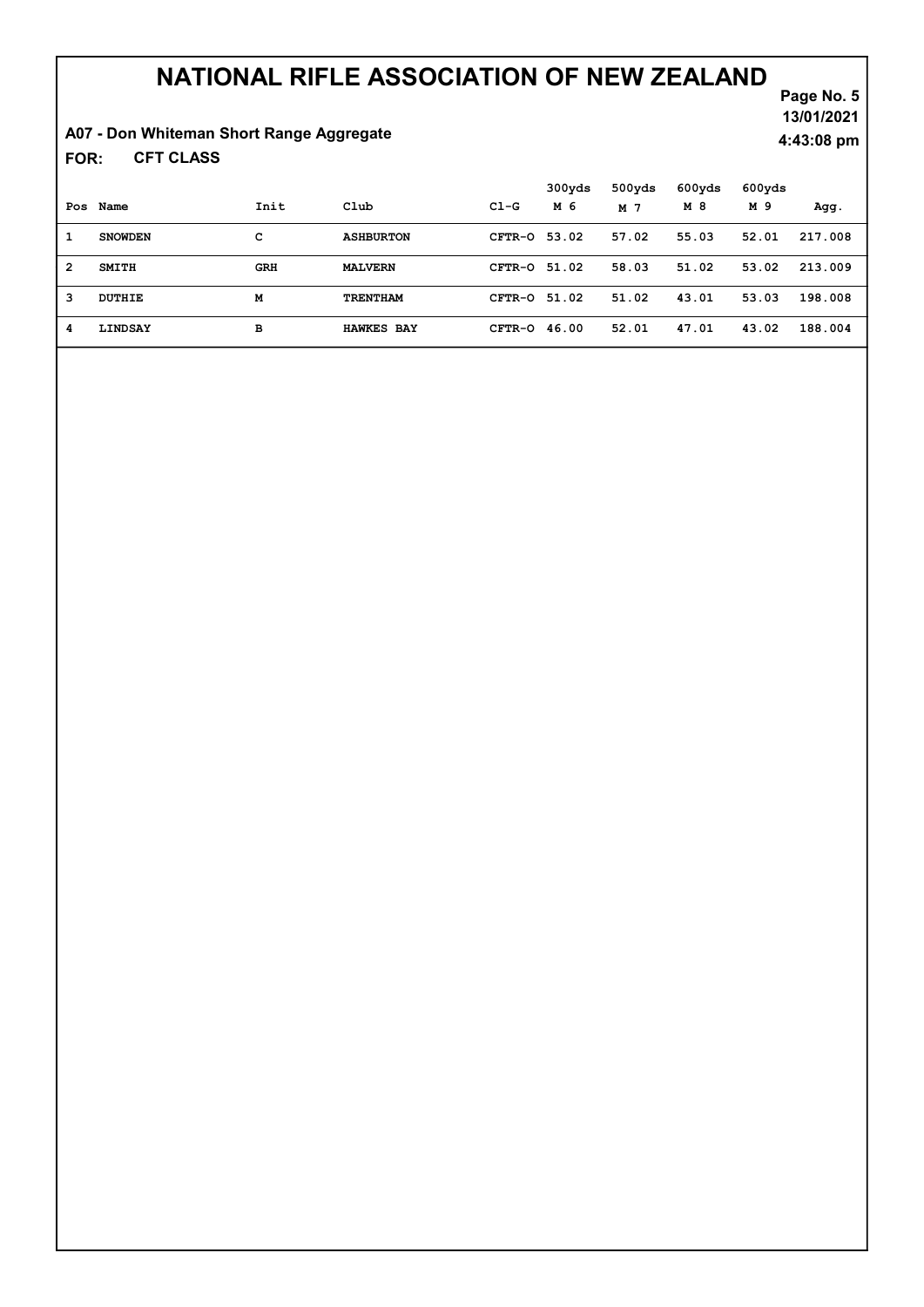### A07 - Don Whiteman Short Range Aggregate

CFT CLASS FOR:

Page No. 5 13/01/2021 4:43:08 pm

|   |                |            |                   |                | 300yds | 500yds | 600yds | 600yds |         |
|---|----------------|------------|-------------------|----------------|--------|--------|--------|--------|---------|
|   | Pos Name       | Init       | Club              | $C1-G$         | M 6    | M 7    | M 8    | M 9    | Agg.    |
| 1 | <b>SNOWDEN</b> | с          | <b>ASHBURTON</b>  | CFTR-0 53.02   |        | 57.02  | 55.03  | 52.01  | 217.008 |
| 2 | SMITH          | <b>GRH</b> | <b>MALVERN</b>    | CFTR-0 51.02   |        | 58.03  | 51.02  | 53.02  | 213.009 |
| 3 | DUTHIE         | M          | TRENTHAM          | CFTR-0 51.02   |        | 51.02  | 43.01  | 53.03  | 198.008 |
| 4 | LINDSAY        | в          | <b>HAWKES BAY</b> | $CFTR-O$ 46.00 |        | 52.01  | 47.01  | 43.02  | 188.004 |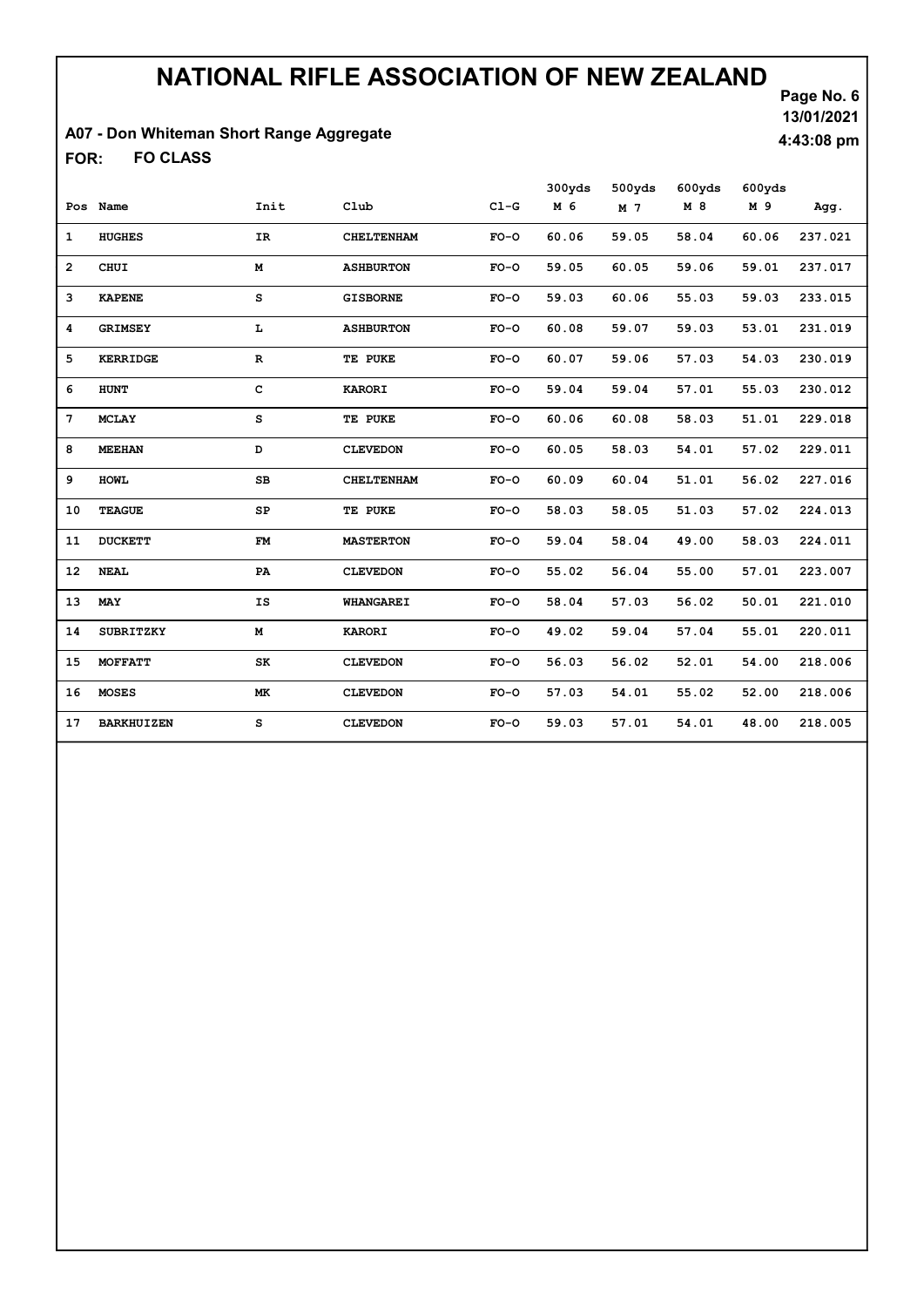### A07 - Don Whiteman Short Range Aggregate

FO CLASS FOR:

Page No. 6 13/01/2021 4:43:08 pm

|                 |                   |             |                   |        | 300yds | 500yds | 600yds | 600yds |         |
|-----------------|-------------------|-------------|-------------------|--------|--------|--------|--------|--------|---------|
|                 | Pos Name          | Init        | Club              | $C1-G$ | M 6    | M 7    | M 8    | M 9    | Agg.    |
| $\mathbf{1}$    | <b>HUGHES</b>     | IR          | <b>CHELTENHAM</b> | $FO-O$ | 60.06  | 59.05  | 58.04  | 60.06  | 237.021 |
| $\overline{2}$  | <b>CHUI</b>       | M           | <b>ASHBURTON</b>  | $FO-O$ | 59.05  | 60.05  | 59.06  | 59.01  | 237.017 |
| 3               | <b>KAPENE</b>     | s           | <b>GISBORNE</b>   | $FO-O$ | 59.03  | 60.06  | 55.03  | 59.03  | 233.015 |
| 4               | <b>GRIMSEY</b>    | L           | <b>ASHBURTON</b>  | $FO-O$ | 60.08  | 59.07  | 59.03  | 53.01  | 231.019 |
| 5               | <b>KERRIDGE</b>   | $\mathbf R$ | TE PUKE           | $FO-O$ | 60.07  | 59.06  | 57.03  | 54.03  | 230.019 |
| 6               | <b>HUNT</b>       | $\mathbf c$ | <b>KARORI</b>     | $FO-O$ | 59.04  | 59.04  | 57.01  | 55.03  | 230.012 |
| $7\phantom{.0}$ | <b>MCLAY</b>      | s           | TE PUKE           | $FO-O$ | 60.06  | 60.08  | 58.03  | 51.01  | 229.018 |
| 8               | <b>MEEHAN</b>     | D           | <b>CLEVEDON</b>   | $FO-O$ | 60.05  | 58.03  | 54.01  | 57.02  | 229.011 |
| 9               | <b>HOWL</b>       | $_{\rm SB}$ | <b>CHELTENHAM</b> | $FO-O$ | 60.09  | 60.04  | 51.01  | 56.02  | 227.016 |
| 10              | <b>TEAGUE</b>     | SP          | TE PUKE           | $FO-O$ | 58.03  | 58.05  | 51.03  | 57.02  | 224.013 |
| 11              | <b>DUCKETT</b>    | FM          | <b>MASTERTON</b>  | $FO-O$ | 59.04  | 58.04  | 49.00  | 58.03  | 224.011 |
| 12              | <b>NEAL</b>       | PA          | <b>CLEVEDON</b>   | $FO-O$ | 55.02  | 56.04  | 55.00  | 57.01  | 223.007 |
| 13              | MAY               | IS          | <b>WHANGAREI</b>  | $FO-O$ | 58.04  | 57.03  | 56.02  | 50.01  | 221.010 |
| 14              | <b>SUBRITZKY</b>  | М           | <b>KARORI</b>     | $FO-O$ | 49.02  | 59.04  | 57.04  | 55.01  | 220.011 |
| 15              | MOFFATT           | SK          | <b>CLEVEDON</b>   | $FO-O$ | 56.03  | 56.02  | 52.01  | 54.00  | 218.006 |
| 16              | <b>MOSES</b>      | MK.         | <b>CLEVEDON</b>   | $FO-O$ | 57.03  | 54.01  | 55.02  | 52.00  | 218.006 |
| 17              | <b>BARKHUIZEN</b> | s           | <b>CLEVEDON</b>   | $FO-O$ | 59.03  | 57.01  | 54.01  | 48.00  | 218.005 |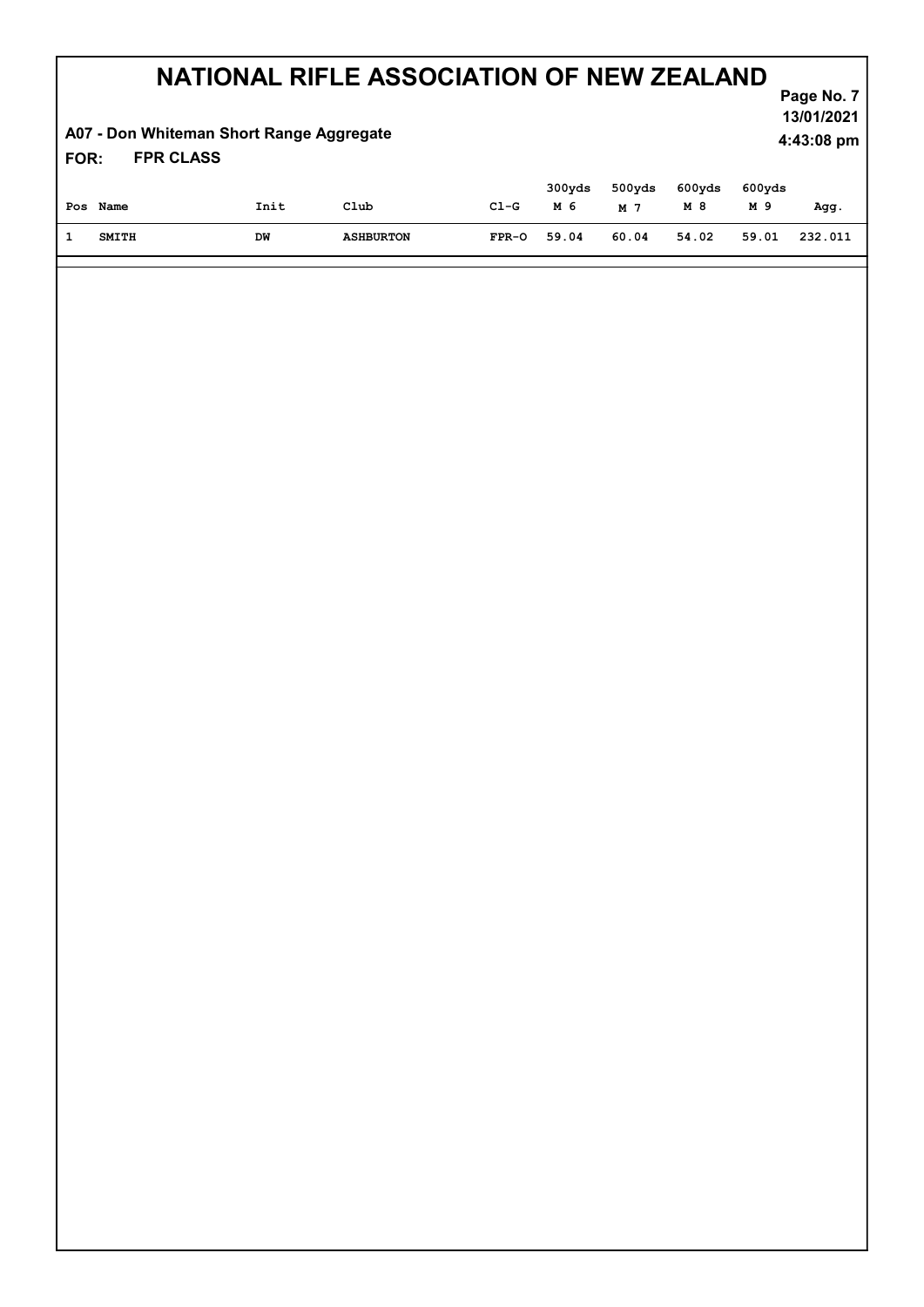### A07 - Don Whiteman Short Range Aggregate

Page No. 7 13/01/2021 4:43:08 pm

#### FPR CLASS FOR:

| Pos Name | Init | Club             | $C1-G$  | 300yds<br>M 6 | 500yds<br>M 7 | $600yds$ $600yds$<br>M 8 | M 9   | Agg.    |
|----------|------|------------------|---------|---------------|---------------|--------------------------|-------|---------|
| SMITH    | DW   | <b>ASHBURTON</b> | $FPR-O$ | 59.04         | 60.04         | 54.02                    | 59.01 | 232.011 |